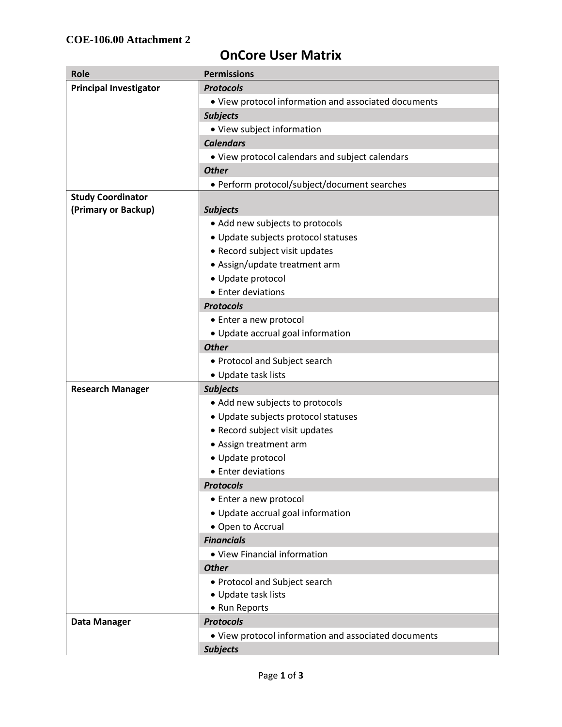## **OnCore User Matrix**

| Role                          | <b>Permissions</b>                                   |
|-------------------------------|------------------------------------------------------|
| <b>Principal Investigator</b> | <b>Protocols</b>                                     |
|                               | • View protocol information and associated documents |
|                               | <b>Subjects</b>                                      |
|                               | • View subject information                           |
|                               | <b>Calendars</b>                                     |
|                               | • View protocol calendars and subject calendars      |
|                               | <b>Other</b>                                         |
|                               | • Perform protocol/subject/document searches         |
| <b>Study Coordinator</b>      |                                                      |
| (Primary or Backup)           | <b>Subjects</b>                                      |
|                               | • Add new subjects to protocols                      |
|                               | • Update subjects protocol statuses                  |
|                               | • Record subject visit updates                       |
|                               | • Assign/update treatment arm                        |
|                               | · Update protocol                                    |
|                               | • Enter deviations                                   |
|                               | <b>Protocols</b>                                     |
|                               | • Enter a new protocol                               |
|                               | • Update accrual goal information                    |
|                               | <b>Other</b>                                         |
|                               | • Protocol and Subject search                        |
|                               | • Update task lists                                  |
| <b>Research Manager</b>       | <b>Subjects</b>                                      |
|                               | • Add new subjects to protocols                      |
|                               | • Update subjects protocol statuses                  |
|                               | • Record subject visit updates                       |
|                               | • Assign treatment arm                               |
|                               | · Update protocol                                    |
|                               | • Enter deviations                                   |
|                               | <b>Protocols</b>                                     |
|                               | • Enter a new protocol                               |
|                               | • Update accrual goal information                    |
|                               | • Open to Accrual                                    |
|                               | <b>Financials</b>                                    |
|                               | • View Financial information                         |
|                               | <b>Other</b>                                         |
|                               | • Protocol and Subject search                        |
|                               | • Update task lists                                  |
|                               | • Run Reports                                        |
| <b>Data Manager</b>           | <b>Protocols</b>                                     |
|                               | • View protocol information and associated documents |
|                               | <b>Subjects</b>                                      |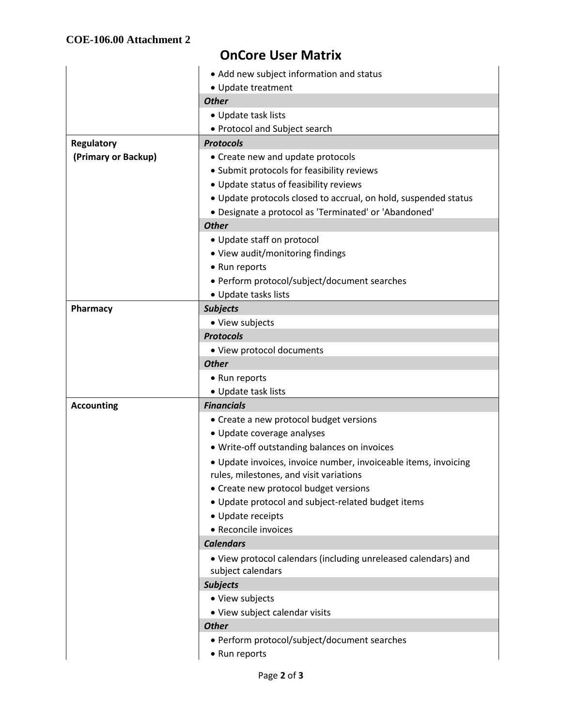## **OnCore User Matrix**

|                     | • Add new subject information and status                                                                   |
|---------------------|------------------------------------------------------------------------------------------------------------|
|                     | • Update treatment                                                                                         |
|                     | <b>Other</b>                                                                                               |
|                     | • Update task lists                                                                                        |
|                     | • Protocol and Subject search                                                                              |
| <b>Regulatory</b>   | <b>Protocols</b>                                                                                           |
| (Primary or Backup) | • Create new and update protocols                                                                          |
|                     | • Submit protocols for feasibility reviews                                                                 |
|                     | • Update status of feasibility reviews                                                                     |
|                     | . Update protocols closed to accrual, on hold, suspended status                                            |
|                     | · Designate a protocol as 'Terminated' or 'Abandoned'                                                      |
|                     | <b>Other</b>                                                                                               |
|                     | • Update staff on protocol                                                                                 |
|                     | • View audit/monitoring findings                                                                           |
|                     | • Run reports                                                                                              |
|                     | • Perform protocol/subject/document searches                                                               |
|                     | • Update tasks lists                                                                                       |
| Pharmacy            | <b>Subjects</b>                                                                                            |
|                     | • View subjects                                                                                            |
|                     | <b>Protocols</b>                                                                                           |
|                     | • View protocol documents                                                                                  |
|                     | <b>Other</b>                                                                                               |
|                     | • Run reports                                                                                              |
|                     | • Update task lists                                                                                        |
| <b>Accounting</b>   | <b>Financials</b>                                                                                          |
|                     | • Create a new protocol budget versions                                                                    |
|                     | • Update coverage analyses                                                                                 |
|                     | · Write-off outstanding balances on invoices                                                               |
|                     | · Update invoices, invoice number, invoiceable items, invoicing<br>rules, milestones, and visit variations |
|                     | • Create new protocol budget versions                                                                      |
|                     | • Update protocol and subject-related budget items                                                         |
|                     | • Update receipts                                                                                          |
|                     | • Reconcile invoices                                                                                       |
|                     | <b>Calendars</b>                                                                                           |
|                     | . View protocol calendars (including unreleased calendars) and<br>subject calendars                        |
|                     | <b>Subjects</b>                                                                                            |
|                     | • View subjects                                                                                            |
|                     | • View subject calendar visits                                                                             |
|                     | <b>Other</b>                                                                                               |
|                     | • Perform protocol/subject/document searches                                                               |
|                     | • Run reports                                                                                              |